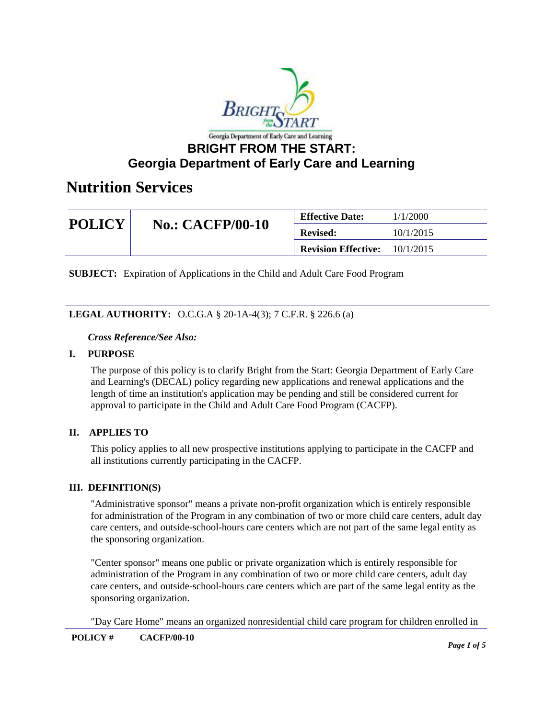

| <b>POLICY</b> | <b>No.: CACFP/00-10</b> | <b>Effective Date:</b>     | 1/1/2000  |
|---------------|-------------------------|----------------------------|-----------|
|               |                         | <b>Revised:</b>            | 10/1/2015 |
|               |                         | <b>Revision Effective:</b> | 10/1/2015 |

**SUBJECT:** Expiration of Applications in the Child and Adult Care Food Program

### **LEGAL AUTHORITY:** O.C.G.A § 20-1A-4(3); 7 C.F.R. § 226.6 (a)

#### *Cross Reference/See Also:*

#### **I. PURPOSE**

The purpose of this policy is to clarify Bright from the Start: Georgia Department of Early Care and Learning's (DECAL) policy regarding new applications and renewal applications and the length of time an institution's application may be pending and still be considered current for approval to participate in the Child and Adult Care Food Program (CACFP).

### **II. APPLIES TO**

This policy applies to all new prospective institutions applying to participate in the CACFP and all institutions currently participating in the CACFP.

#### **III. DEFINITION(S)**

"Administrative sponsor" means a private non-profit organization which is entirely responsible for administration of the Program in any combination of two or more child care centers, adult day care centers, and outside-school-hours care centers which are not part of the same legal entity as the sponsoring organization.

"Center sponsor" means one public or private organization which is entirely responsible for administration of the Program in any combination of two or more child care centers, adult day care centers, and outside-school-hours care centers which are part of the same legal entity as the sponsoring organization.

"Day Care Home" means an organized nonresidential child care program for children enrolled in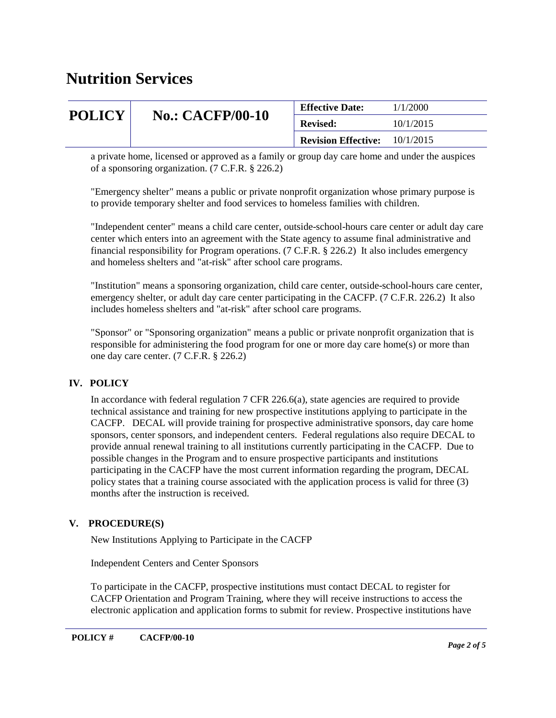|               | <b>No.: CACFP/00-10</b> | <b>Effective Date:</b>     | 1/1/2000  |
|---------------|-------------------------|----------------------------|-----------|
| <b>POLICY</b> |                         | <b>Revised:</b>            | 10/1/2015 |
|               |                         | <b>Revision Effective:</b> | 10/1/2015 |

a private home, licensed or approved as a family or group day care home and under the auspices of a sponsoring organization. (7 C.F.R. § 226.2)

"Emergency shelter" means a public or private nonprofit organization whose primary purpose is to provide temporary shelter and food services to homeless families with children.

"Independent center" means a child care center, outside-school-hours care center or adult day care center which enters into an agreement with the State agency to assume final administrative and financial responsibility for Program operations. (7 C.F.R. § 226.2) It also includes emergency and homeless shelters and "at-risk" after school care programs.

"Institution" means a sponsoring organization, child care center, outside-school-hours care center, emergency shelter, or adult day care center participating in the CACFP. (7 C.F.R. 226.2) It also includes homeless shelters and "at-risk" after school care programs.

"Sponsor" or "Sponsoring organization" means a public or private nonprofit organization that is responsible for administering the food program for one or more day care home(s) or more than one day care center. (7 C.F.R. § 226.2)

### **IV. POLICY**

In accordance with federal regulation 7 CFR 226.6(a), state agencies are required to provide technical assistance and training for new prospective institutions applying to participate in the CACFP. DECAL will provide training for prospective administrative sponsors, day care home sponsors, center sponsors, and independent centers. Federal regulations also require DECAL to provide annual renewal training to all institutions currently participating in the CACFP. Due to possible changes in the Program and to ensure prospective participants and institutions participating in the CACFP have the most current information regarding the program, DECAL policy states that a training course associated with the application process is valid for three (3) months after the instruction is received.

### **V. PROCEDURE(S)**

New Institutions Applying to Participate in the CACFP

Independent Centers and Center Sponsors

To participate in the CACFP, prospective institutions must contact DECAL to register for CACFP Orientation and Program Training, where they will receive instructions to access the electronic application and application forms to submit for review. Prospective institutions have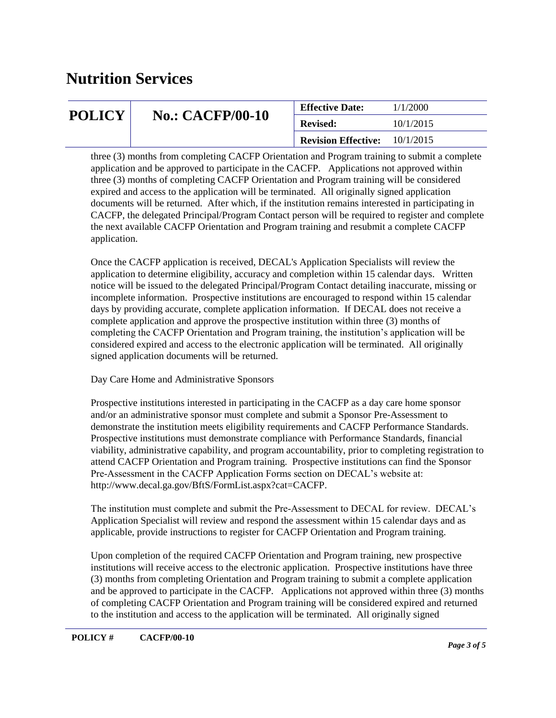| <b>POLICY</b> | <b>No.: CACFP/00-10</b> | <b>Effective Date:</b>     | 1/1/2000  |
|---------------|-------------------------|----------------------------|-----------|
|               |                         | <b>Revised:</b>            | 10/1/2015 |
|               |                         | <b>Revision Effective:</b> | 10/1/2015 |

three (3) months from completing CACFP Orientation and Program training to submit a complete application and be approved to participate in the CACFP. Applications not approved within three (3) months of completing CACFP Orientation and Program training will be considered expired and access to the application will be terminated. All originally signed application documents will be returned. After which, if the institution remains interested in participating in CACFP, the delegated Principal/Program Contact person will be required to register and complete the next available CACFP Orientation and Program training and resubmit a complete CACFP application.

Once the CACFP application is received, DECAL's Application Specialists will review the application to determine eligibility, accuracy and completion within 15 calendar days. Written notice will be issued to the delegated Principal/Program Contact detailing inaccurate, missing or incomplete information. Prospective institutions are encouraged to respond within 15 calendar days by providing accurate, complete application information. If DECAL does not receive a complete application and approve the prospective institution within three (3) months of completing the CACFP Orientation and Program training, the institution's application will be considered expired and access to the electronic application will be terminated. All originally signed application documents will be returned.

### Day Care Home and Administrative Sponsors

Prospective institutions interested in participating in the CACFP as a day care home sponsor and/or an administrative sponsor must complete and submit a Sponsor Pre-Assessment to demonstrate the institution meets eligibility requirements and CACFP Performance Standards. Prospective institutions must demonstrate compliance with Performance Standards, financial viability, administrative capability, and program accountability, prior to completing registration to attend CACFP Orientation and Program training. Prospective institutions can find the Sponsor Pre-Assessment in the CACFP Application Forms section on DECAL's website at: http://www.decal.ga.gov/BftS/FormList.aspx?cat=CACFP.

The institution must complete and submit the Pre-Assessment to DECAL for review. DECAL's Application Specialist will review and respond the assessment within 15 calendar days and as applicable, provide instructions to register for CACFP Orientation and Program training.

Upon completion of the required CACFP Orientation and Program training, new prospective institutions will receive access to the electronic application. Prospective institutions have three (3) months from completing Orientation and Program training to submit a complete application and be approved to participate in the CACFP. Applications not approved within three (3) months of completing CACFP Orientation and Program training will be considered expired and returned to the institution and access to the application will be terminated. All originally signed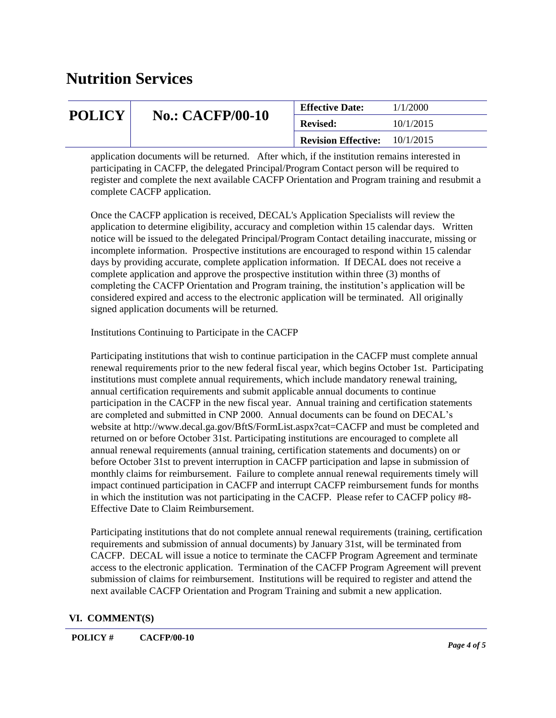|               | <b>No.: CACFP/00-10</b> | <b>Effective Date:</b>               | 1/1/2000  |
|---------------|-------------------------|--------------------------------------|-----------|
| <b>POLICY</b> |                         | <b>Revised:</b>                      | 10/1/2015 |
|               |                         | <b>Revision Effective:</b> 10/1/2015 |           |
|               |                         |                                      |           |

application documents will be returned. After which, if the institution remains interested in participating in CACFP, the delegated Principal/Program Contact person will be required to register and complete the next available CACFP Orientation and Program training and resubmit a complete CACFP application.

Once the CACFP application is received, DECAL's Application Specialists will review the application to determine eligibility, accuracy and completion within 15 calendar days. Written notice will be issued to the delegated Principal/Program Contact detailing inaccurate, missing or incomplete information. Prospective institutions are encouraged to respond within 15 calendar days by providing accurate, complete application information. If DECAL does not receive a complete application and approve the prospective institution within three (3) months of completing the CACFP Orientation and Program training, the institution's application will be considered expired and access to the electronic application will be terminated. All originally signed application documents will be returned.

Institutions Continuing to Participate in the CACFP

Participating institutions that wish to continue participation in the CACFP must complete annual renewal requirements prior to the new federal fiscal year, which begins October 1st. Participating institutions must complete annual requirements, which include mandatory renewal training, annual certification requirements and submit applicable annual documents to continue participation in the CACFP in the new fiscal year. Annual training and certification statements are completed and submitted in CNP 2000. Annual documents can be found on DECAL's website at http://www.decal.ga.gov/BftS/FormList.aspx?cat=CACFP and must be completed and returned on or before October 31st. Participating institutions are encouraged to complete all annual renewal requirements (annual training, certification statements and documents) on or before October 31st to prevent interruption in CACFP participation and lapse in submission of monthly claims for reimbursement. Failure to complete annual renewal requirements timely will impact continued participation in CACFP and interrupt CACFP reimbursement funds for months in which the institution was not participating in the CACFP. Please refer to CACFP policy #8- Effective Date to Claim Reimbursement.

Participating institutions that do not complete annual renewal requirements (training, certification requirements and submission of annual documents) by January 31st, will be terminated from CACFP. DECAL will issue a notice to terminate the CACFP Program Agreement and terminate access to the electronic application. Termination of the CACFP Program Agreement will prevent submission of claims for reimbursement. Institutions will be required to register and attend the next available CACFP Orientation and Program Training and submit a new application.

### **VI. COMMENT(S)**

#### **POLICY # CACFP/00-10**